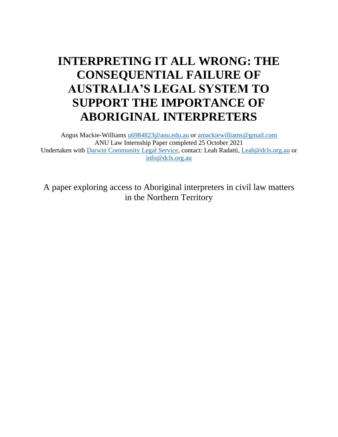# **INTERPRETING IT ALL WRONG: THE CONSEQUENTIAL FAILURE OF AUSTRALIA'S LEGAL SYSTEM TO SUPPORT THE IMPORTANCE OF ABORIGINAL INTERPRETERS**

Angus Mackie-Williams [u6984823@anu.edu.au](mailto:u6984823@anu.edu.au) or [amackiewilliams@gmail.com](mailto:amackiewilliams@gmail.com) ANU Law Internship Paper completed 25 October 2021 Undertaken with [Darwin Community Legal Service,](http://www.dcls.org.au/) contact: Leah Radatti, [Leah@dcls.org.au](mailto:Leah@dcls.org.au) or [info@dcls.org.au](mailto:info@dcls.org.au)

A paper exploring access to Aboriginal interpreters in civil law matters in the Northern Territory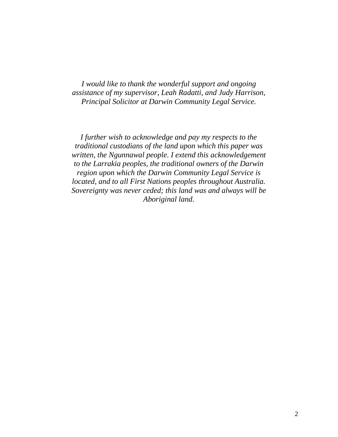*I would like to thank the wonderful support and ongoing assistance of my supervisor, Leah Radatti, and Judy Harrison, Principal Solicitor at Darwin Community Legal Service.* 

*I further wish to acknowledge and pay my respects to the traditional custodians of the land upon which this paper was written, the Ngunnawal people. I extend this acknowledgement to the Larrakia peoples, the traditional owners of the Darwin region upon which the Darwin Community Legal Service is located, and to all First Nations peoples throughout Australia. Sovereignty was never ceded; this land was and always will be Aboriginal land.*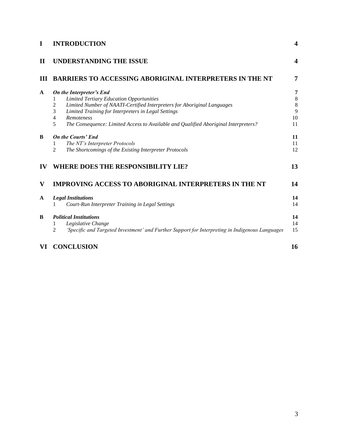| I            | <b>INTRODUCTION</b>                                                                                                                                                                                                                                                                                                                                |                              |
|--------------|----------------------------------------------------------------------------------------------------------------------------------------------------------------------------------------------------------------------------------------------------------------------------------------------------------------------------------------------------|------------------------------|
| $\mathbf H$  | <b>UNDERSTANDING THE ISSUE</b>                                                                                                                                                                                                                                                                                                                     |                              |
| Ш            | <b>BARRIERS TO ACCESSING ABORIGINAL INTERPRETERS IN THE NT</b>                                                                                                                                                                                                                                                                                     | 7                            |
| A            | On the Interpreter's End<br><b>Limited Tertiary Education Opportunities</b><br>1<br>Limited Number of NAATI-Certified Interpreters for Aboriginal Languages<br>2<br>3<br>Limited Training for Interpreters in Legal Settings<br>4<br><b>Remoteness</b><br>5<br>The Consequence: Limited Access to Available and Qualified Aboriginal Interpreters? | 7<br>8<br>8<br>9<br>10<br>11 |
| B            | <b>On the Courts' End</b><br>The NT's Interpreter Protocols<br>1<br>$\overline{c}$<br>The Shortcomings of the Existing Interpreter Protocols                                                                                                                                                                                                       | 11<br>11<br>12               |
| $\bf{IV}$    | <b>WHERE DOES THE RESPONSIBILITY LIE?</b>                                                                                                                                                                                                                                                                                                          | 13                           |
| V            | <b>IMPROVING ACCESS TO ABORIGINAL INTERPRETERS IN THE NT</b>                                                                                                                                                                                                                                                                                       | 14                           |
| $\mathbf{A}$ | <b>Legal Institutions</b><br>Court-Run Interpreter Training in Legal Settings                                                                                                                                                                                                                                                                      | 14<br>14                     |
| B            | <b>Political Institutions</b><br>Legislative Change<br>1<br>'Specific and Targeted Investment' and Further Support for Interpreting in Indigenous Languages<br>2                                                                                                                                                                                   | 14<br>14<br>15               |
| VI           | <b>CONCLUSION</b>                                                                                                                                                                                                                                                                                                                                  | 16                           |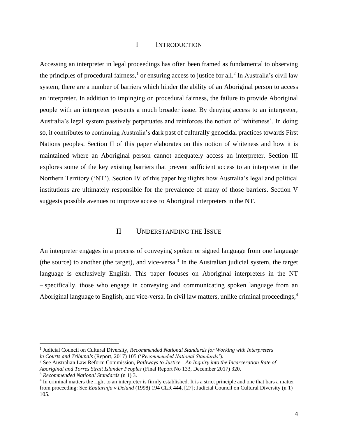#### I INTRODUCTION

<span id="page-3-0"></span>Accessing an interpreter in legal proceedings has often been framed as fundamental to observing the principles of procedural fairness,<sup>1</sup> or ensuring access to justice for all.<sup>2</sup> In Australia's civil law system, there are a number of barriers which hinder the ability of an Aboriginal person to access an interpreter. In addition to impinging on procedural fairness, the failure to provide Aboriginal people with an interpreter presents a much broader issue. By denying access to an interpreter, Australia's legal system passively perpetuates and reinforces the notion of 'whiteness'. In doing so, it contributes to continuing Australia's dark past of culturally genocidal practices towards First Nations peoples. Section II of this paper elaborates on this notion of whiteness and how it is maintained where an Aboriginal person cannot adequately access an interpreter. Section III explores some of the key existing barriers that prevent sufficient access to an interpreter in the Northern Territory ('NT'). Section IV of this paper highlights how Australia's legal and political institutions are ultimately responsible for the prevalence of many of those barriers. Section V suggests possible avenues to improve access to Aboriginal interpreters in the NT.

#### II UNDERSTANDING THE ISSUE

<span id="page-3-1"></span>An interpreter engages in a process of conveying spoken or signed language from one language (the source) to another (the target), and vice-versa. 3 In the Australian judicial system, the target language is exclusively English. This paper focuses on Aboriginal interpreters in the NT – specifically, those who engage in conveying and communicating spoken language from an Aboriginal language to English, and vice-versa. In civil law matters, unlike criminal proceedings,<sup>4</sup>

<sup>1</sup> Judicial Council on Cultural Diversity, *Recommended National Standards for Working with Interpreters in Courts and Tribunals* (Report, 2017) 105 ('*Recommended National Standards'*).

<sup>2</sup> See Australian Law Reform Commission, *Pathways to Justice—An Inquiry into the Incarceration Rate of Aboriginal and Torres Strait Islander Peoples* (Final Report No 133, December 2017) 320.

<sup>3</sup> *Recommended National Standards* (n 1) 3.

<sup>&</sup>lt;sup>4</sup> In criminal matters the right to an interpreter is firmly established. It is a strict principle and one that bars a matter from proceeding: See *Ebatarinja v Deland* (1998) 194 CLR 444, [27]; Judicial Council on Cultural Diversity (n 1) 105.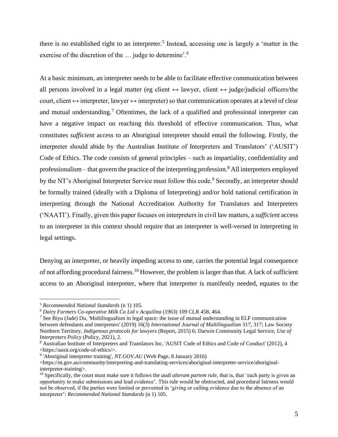there is no established right to an interpreter.<sup>5</sup> Instead, accessing one is largely a 'matter in the exercise of the discretion of the ... judge to determine'.<sup>6</sup>

At a basic minimum, an interpreter needs to be able to facilitate effective communication between all persons involved in a legal matter (eg client  $\leftrightarrow$  lawyer, client  $\leftrightarrow$  judge/judicial officers/the court, client  $\leftrightarrow$  interpreter, lawyer  $\leftrightarrow$  interpreter) so that communication operates at a level of clear and mutual understanding.<sup>7</sup> Oftentimes, the lack of a qualified and professional interpreter can have a negative impact on reaching this threshold of effective communication. Thus, what constitutes *sufficient* access to an Aboriginal interpreter should entail the following. Firstly, the interpreter should abide by the Australian Institute of Interpreters and Translators' ('AUSIT') Code of Ethics. The code consists of general principles – such as impartiality, confidentiality and professionalism – that govern the practice of the interpreting profession.<sup>8</sup> All interpreters employed by the NT's Aboriginal Interpreter Service must follow this code.<sup>9</sup> Secondly, an interpreter should be formally trained (ideally with a Diploma of Interpreting) and/or hold national certification in interpreting through the National Accreditation Authority for Translators and Interpreters ('NAATI'). Finally, given this paper focuses on interpreters in civil law matters, a *sufficient* access to an interpreter in this context should require that an interpreter is well-versed in interpreting in legal settings.

Denying an interpreter, or heavily impeding access to one, carries the potential legal consequence of not affording procedural fairness.<sup>10</sup> However, the problem is larger than that. A lack of sufficient access to an Aboriginal interpreter, where that interpreter is manifestly needed, equates to the

<sup>5</sup> *Recommended National Standards* (n 1) 105.

<sup>6</sup> *Dairy Farmers Co-operative Milk Co Ltd v Acquilina* (1963) 109 CLR 458, 464.

<sup>7</sup> See Biyu (Jade) Du, 'Multilingualism in legal space: the issue of mutual understanding in ELF communication between defendants and interpreters' (2019) 16(3) *International Journal of Multilingualism* 317, 317; Law Society Northern Territory, *Indigenous protocols for lawyers* (Report, 2015) 6; Darwin Community Legal Service, *Use of Interpreters Policy* (Policy, 2021), 2.

<sup>8</sup> Australian Institute of Interpreters and Translators Inc, 'AUSIT Code of Ethics and Code of Conduct' (2012), 4 <https://ausit.org/code-of-ethics/>.

<sup>9</sup> 'Aboriginal interpreter training', *NT.GOV.AU* (Web Page, 8 January 2016)

<sup>&</sup>lt;https://nt.gov.au/community/interpreting-and-translating-services/aboriginal-interpreter-service/aboriginalinterpreter-training>.

<sup>&</sup>lt;sup>10</sup> Specifically, the court must make sure it follows the *audi alteram partem rule*, that is, that 'each party is given an opportunity to make submissions and lead evidence'. This rule would be obstructed, and procedural fairness would not be observed, if the parties were limited or prevented in 'giving or calling evidence due to the absence of an interpreter': *Recommended National Standards* (n 1) 105.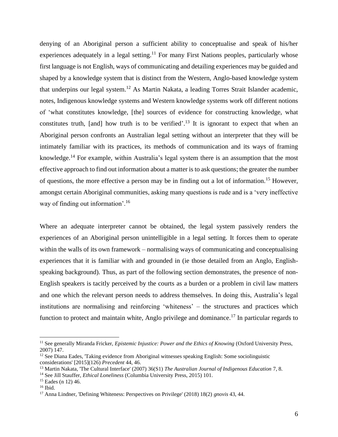denying of an Aboriginal person a sufficient ability to conceptualise and speak of his/her experiences adequately in a legal setting.<sup>11</sup> For many First Nations peoples, particularly whose first language is not English, ways of communicating and detailing experiences may be guided and shaped by a knowledge system that is distinct from the Western, Anglo-based knowledge system that underpins our legal system.<sup>12</sup> As Martin Nakata, a leading Torres Strait Islander academic, notes, Indigenous knowledge systems and Western knowledge systems work off different notions of 'what constitutes knowledge, [the] sources of evidence for constructing knowledge, what constitutes truth, [and] how truth is to be verified'.<sup>13</sup> It is ignorant to expect that when an Aboriginal person confronts an Australian legal setting without an interpreter that they will be intimately familiar with its practices, its methods of communication and its ways of framing knowledge.<sup>14</sup> For example, within Australia's legal system there is an assumption that the most effective approach to find out information about a matter is to ask questions; the greater the number of questions, the more effective a person may be in finding out a lot of information.<sup>15</sup> However, amongst certain Aboriginal communities, asking many questions is rude and is a 'very ineffective way of finding out information'.<sup>16</sup>

Where an adequate interpreter cannot be obtained, the legal system passively renders the experiences of an Aboriginal person unintelligible in a legal setting. It forces them to operate within the walls of its own framework – normalising ways of communicating and conceptualising experiences that it is familiar with and grounded in (ie those detailed from an Anglo, Englishspeaking background). Thus, as part of the following section demonstrates, the presence of non-English speakers is tacitly perceived by the courts as a burden or a problem in civil law matters and one which the relevant person needs to address themselves. In doing this, Australia's legal institutions are normalising and reinforcing 'whiteness' – the structures and practices which function to protect and maintain white, Anglo privilege and dominance.<sup>17</sup> In particular regards to

<sup>11</sup> See generally Miranda Fricker, *Epistemic Injustice: Power and the Ethics of Knowing* (Oxford University Press, 2007) 147.

 $12$  See Diana Eades, 'Taking evidence from Aboriginal witnesses speaking English: Some sociolinguistic considerations' [2015](126) *Precedent* 44, 46.

<sup>13</sup> Martin Nakata, 'The Cultural Interface' (2007) 36(S1) *The Australian Journal of Indigenous Education* 7, 8.

<sup>14</sup> See Jill Stauffer, *Ethical Loneliness* (Columbia University Press, 2015) 101.

<sup>15</sup> Eades (n 12) 46.

 $16$  Ibid.

<sup>17</sup> Anna Lindner, 'Defining Whiteness: Perspectives on Privilege' (2018) 18(2) *gnovis* 43, 44.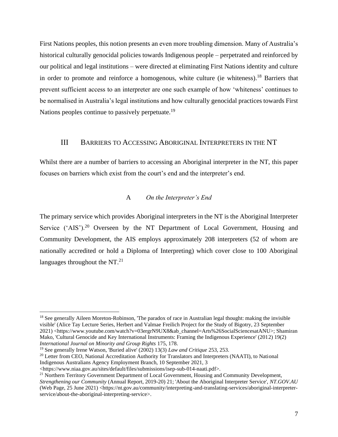First Nations peoples, this notion presents an even more troubling dimension. Many of Australia's historical culturally genocidal policies towards Indigenous people – perpetrated and reinforced by our political and legal institutions – were directed at eliminating First Nations identity and culture in order to promote and reinforce a homogenous, white culture (ie whiteness).<sup>18</sup> Barriers that prevent sufficient access to an interpreter are one such example of how 'whiteness' continues to be normalised in Australia's legal institutions and how culturally genocidal practices towards First Nations peoples continue to passively perpetuate.<sup>19</sup>

#### <span id="page-6-0"></span>III BARRIERS TO ACCESSING ABORIGINAL INTERPRETERS IN THE NT

Whilst there are a number of barriers to accessing an Aboriginal interpreter in the NT, this paper focuses on barriers which exist from the court's end and the interpreter's end.

#### A *On the Interpreter's End*

<span id="page-6-1"></span>The primary service which provides Aboriginal interpreters in the NT is the Aboriginal Interpreter Service ('AIS').<sup>20</sup> Overseen by the NT Department of Local Government, Housing and Community Development, the AIS employs approximately 208 interpreters (52 of whom are nationally accredited or hold a Diploma of Interpreting) which cover close to 100 Aboriginal languages throughout the  $NT<sup>21</sup>$ 

<sup>&</sup>lt;sup>18</sup> See generally Aileen Moreton-Robinson, 'The paradox of race in Australian legal thought: making the invisible visible' (Alice Tay Lecture Series, Herbert and Valmae Freilich Project for the Study of Bigotry, 23 September 2021) <https://www.youtube.com/watch?v=03ergrN9UX8&ab\_channel=Arts%26SocialSciencesatANU>; Shamiran Mako, 'Cultural Genocide and Key International Instruments: Framing the Indigenous Experience' (2012) 19(2) *International Journal on Minority and Group Rights* 175, 178.

<sup>19</sup> See generally Irene Watson, 'Buried alive' (2002) 13(3) *Law and Critique* 253, 253.

<sup>&</sup>lt;sup>20</sup> Letter from CEO, National Accreditation Authority for Translators and Interpreters (NAATI), to National Indigenous Australians Agency Employment Branch, 10 September 2021, 3

<sup>&</sup>lt;https://www.niaa.gov.au/sites/default/files/submissions/isep-sub-014-naati.pdf>.

<sup>&</sup>lt;sup>21</sup> Northern Territory Government Department of Local Government, Housing and Community Development,

*Strengthening our Community* (Annual Report, 2019-20) 21; 'About the Aboriginal Interpreter Service', *NT.GOV.AU* (Web Page, 25 June 2021) <https://nt.gov.au/community/interpreting-and-translating-services/aboriginal-interpreterservice/about-the-aboriginal-interpreting-service>.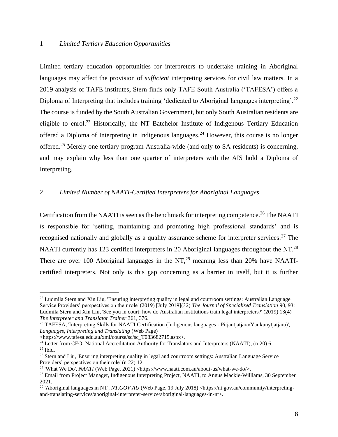#### <span id="page-7-0"></span>1 *Limited Tertiary Education Opportunities*

Limited tertiary education opportunities for interpreters to undertake training in Aboriginal languages may affect the provision of *sufficient* interpreting services for civil law matters. In a 2019 analysis of TAFE institutes, Stern finds only TAFE South Australia ('TAFESA') offers a Diploma of Interpreting that includes training 'dedicated to Aboriginal languages interpreting'.<sup>22</sup> The course is funded by the South Australian Government, but only South Australian residents are eligible to enrol.<sup>23</sup> Historically, the NT Batchelor Institute of Indigenous Tertiary Education offered a Diploma of Interpreting in Indigenous languages.<sup>24</sup> However, this course is no longer offered.<sup>25</sup> Merely one tertiary program Australia-wide (and only to SA residents) is concerning, and may explain why less than one quarter of interpreters with the AIS hold a Diploma of Interpreting.

### <span id="page-7-1"></span>2 *Limited Number of NAATI-Certified Interpreters for Aboriginal Languages*

Certification from the NAATI is seen as the benchmark for interpreting competence.<sup>26</sup> The NAATI is responsible for 'setting, maintaining and promoting high professional standards' and is recognised nationally and globally as a quality assurance scheme for interpreter services.<sup>27</sup> The NAATI currently has 123 certified interpreters in 20 Aboriginal languages throughout the NT.<sup>28</sup> There are over 100 Aboriginal languages in the  $NT<sub>1</sub><sup>29</sup>$  meaning less than 20% have NAATIcertified interpreters. Not only is this gap concerning as a barrier in itself, but it is further

 $^{22}$  Ludmila Stern and Xin Liu, 'Ensuring interpreting quality in legal and courtroom settings: Australian Language Service Providers' perspectives on their role' (2019) [July 2019](32) *The Journal of Specialised Translation* 90, 93; Ludmila Stern and Xin Liu, 'See you in court: how do Australian institutions train legal interpreters?' (2019) 13(4) *The Interpreter and Translator Trainer* 361, 376.

<sup>&</sup>lt;sup>23</sup> TAFESA, 'Interpreting Skills for NAATI Certification (Indigenous languages - Pitjantjatjara/Yankunytjatjara)', *Languages, Interpreting and Translating* (Web Page)

<sup>&</sup>lt;https://www.tafesa.edu.au/xml/course/sc/sc\_T083682715.aspx>.

<sup>&</sup>lt;sup>24</sup> Letter from CEO, National Accreditation Authority for Translators and Interpreters (NAATI), (n 20) 6.  $25$  Ibid.

<sup>&</sup>lt;sup>26</sup> Stern and Liu, 'Ensuring interpreting quality in legal and courtroom settings: Australian Language Service Providers' perspectives on their role' (n 22) 12.

<sup>&</sup>lt;sup>27</sup> 'What We Do', *NAATI* (Web Page, 2021) <https://www.naati.com.au/about-us/what-we-do/>.

<sup>&</sup>lt;sup>28</sup> Email from Project Manager, Indigenous Interpreting Project, NAATI, to Angus Mackie-Williams, 30 September 2021.

<sup>&</sup>lt;sup>29</sup> 'Aboriginal languages in NT', *NT.GOV.AU* (Web Page, 19 July 2018) <https://nt.gov.au/community/interpretingand-translating-services/aboriginal-interpreter-service/aboriginal-languages-in-nt>.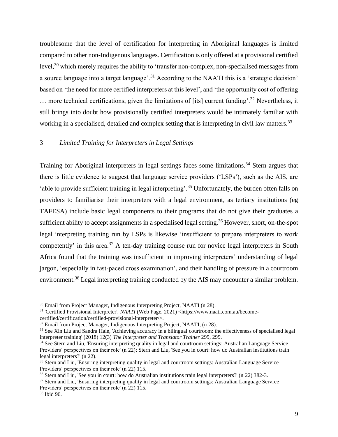troublesome that the level of certification for interpreting in Aboriginal languages is limited compared to other non-Indigenous languages. Certification is only offered at a provisional certified level,<sup>30</sup> which merely requires the ability to 'transfer non-complex, non-specialised messages from a source language into a target language'.<sup>31</sup> According to the NAATI this is a 'strategic decision' based on 'the need for more certified interpreters at this level', and 'the opportunity cost of offering  $\ldots$  more technical certifications, given the limitations of [its] current funding'.<sup>32</sup> Nevertheless, it still brings into doubt how provisionally certified interpreters would be intimately familiar with working in a specialised, detailed and complex setting that is interpreting in civil law matters.<sup>33</sup>

#### <span id="page-8-0"></span>3 *Limited Training for Interpreters in Legal Settings*

Training for Aboriginal interpreters in legal settings faces some limitations.<sup>34</sup> Stern argues that there is little evidence to suggest that language service providers ('LSPs'), such as the AIS, are 'able to provide sufficient training in legal interpreting'.<sup>35</sup> Unfortunately, the burden often falls on providers to familiarise their interpreters with a legal environment, as tertiary institutions (eg TAFESA) include basic legal components to their programs that do not give their graduates a sufficient ability to accept assignments in a specialised legal setting.<sup>36</sup> However, short, on-the-spot legal interpreting training run by LSPs is likewise 'insufficient to prepare interpreters to work competently' in this area.<sup>37</sup> A ten-day training course run for novice legal interpreters in South Africa found that the training was insufficient in improving interpreters' understanding of legal jargon, 'especially in fast-paced cross examination', and their handling of pressure in a courtroom environment.<sup>38</sup> Legal interpreting training conducted by the AIS may encounter a similar problem.

<sup>&</sup>lt;sup>30</sup> Email from Project Manager, Indigenous Interpreting Project, NAATI (n 28).

<sup>&</sup>lt;sup>31</sup> 'Certified Provisional Interpreter', *NAATI* (Web Page, 2021) <https://www.naati.com.au/becomecertified/certification/certified-provisional-interpreter/>.

<sup>&</sup>lt;sup>32</sup> Email from Project Manager, Indigenous Interpreting Project, NAATI, (n 28).

<sup>&</sup>lt;sup>33</sup> See Xin Liu and Sandra Hale, 'Achieving accuracy in a bilingual courtroom: the effectiveness of specialised legal interpreter training' (2018) 12(3) *The Interpreter and Translator Trainer* 299, 299.

<sup>&</sup>lt;sup>34</sup> See Stern and Liu, 'Ensuring interpreting quality in legal and courtroom settings: Australian Language Service Providers' perspectives on their role' (n 22); Stern and Liu, 'See you in court: how do Australian institutions train legal interpreters?' (n 22).

<sup>&</sup>lt;sup>35</sup> Stern and Liu, 'Ensuring interpreting quality in legal and courtroom settings: Australian Language Service Providers' perspectives on their role' (n 22) 115.

<sup>36</sup> Stern and Liu, 'See you in court: how do Australian institutions train legal interpreters?' (n 22) 382-3.

<sup>&</sup>lt;sup>37</sup> Stern and Liu, 'Ensuring interpreting quality in legal and courtroom settings: Australian Language Service Providers' perspectives on their role' (n 22) 115.

<sup>38</sup> Ibid 96.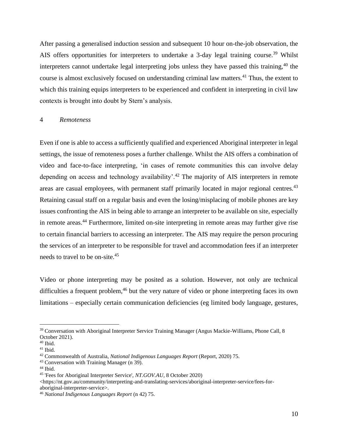After passing a generalised induction session and subsequent 10 hour on-the-job observation, the AIS offers opportunities for interpreters to undertake a 3-day legal training course.<sup>39</sup> Whilst interpreters cannot undertake legal interpreting jobs unless they have passed this training,  $40$  the course is almost exclusively focused on understanding criminal law matters.<sup>41</sup> Thus, the extent to which this training equips interpreters to be experienced and confident in interpreting in civil law contexts is brought into doubt by Stern's analysis.

#### <span id="page-9-0"></span>4 *Remoteness*

Even if one is able to access a sufficiently qualified and experienced Aboriginal interpreter in legal settings, the issue of remoteness poses a further challenge. Whilst the AIS offers a combination of video and face-to-face interpreting, 'in cases of remote communities this can involve delay depending on access and technology availability'.<sup>42</sup> The majority of AIS interpreters in remote areas are casual employees, with permanent staff primarily located in major regional centres.<sup>43</sup> Retaining casual staff on a regular basis and even the losing/misplacing of mobile phones are key issues confronting the AIS in being able to arrange an interpreter to be available on site, especially in remote areas.<sup>44</sup> Furthermore, limited on-site interpreting in remote areas may further give rise to certain financial barriers to accessing an interpreter. The AIS may require the person procuring the services of an interpreter to be responsible for travel and accommodation fees if an interpreter needs to travel to be on-site.<sup>45</sup>

Video or phone interpreting may be posited as a solution. However, not only are technical difficulties a frequent problem,<sup>46</sup> but the very nature of video or phone interpreting faces its own limitations – especially certain communication deficiencies (eg limited body language, gestures,

 $\langle$ https://nt.gov.au/community/interpreting-and-translating-services/aboriginal-interpreter-service/fees-foraboriginal-interpreter-service>.

<sup>&</sup>lt;sup>39</sup> Conversation with Aboriginal Interpreter Service Training Manager (Angus Mackie-Williams, Phone Call, 8 October 2021).

<sup>40</sup> Ibid.

<sup>41</sup> Ibid.

<sup>42</sup> Commonwealth of Australia, *National Indigenous Languages Report* (Report, 2020) 75.

<sup>43</sup> Conversation with Training Manager (n 39).

 $44$  Ibid.

<sup>45</sup> 'Fees for Aboriginal Interpreter Service', *NT.GOV.AU*, 8 October 2020)

<sup>46</sup> *National Indigenous Languages Report* (n 42) 75.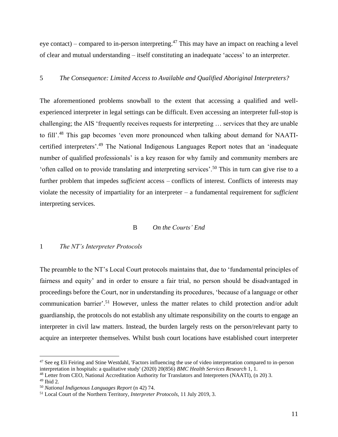eye contact) – compared to in-person interpreting.<sup>47</sup> This may have an impact on reaching a level of clear and mutual understanding – itself constituting an inadequate 'access' to an interpreter.

#### <span id="page-10-0"></span>5 *The Consequence: Limited Access to Available and Qualified Aboriginal Interpreters?*

The aforementioned problems snowball to the extent that accessing a qualified and wellexperienced interpreter in legal settings can be difficult. Even accessing an interpreter full-stop is challenging; the AIS 'frequently receives requests for interpreting … services that they are unable to fill'.<sup>48</sup> This gap becomes 'even more pronounced when talking about demand for NAATIcertified interpreters'.<sup>49</sup> The National Indigenous Languages Report notes that an 'inadequate number of qualified professionals' is a key reason for why family and community members are 'often called on to provide translating and interpreting services'.<sup>50</sup> This in turn can give rise to a further problem that impedes *sufficient* access – conflicts of interest. Conflicts of interests may violate the necessity of impartiality for an interpreter – a fundamental requirement for *sufficient*  interpreting services.

#### B *On the Courts' End*

#### <span id="page-10-2"></span><span id="page-10-1"></span>1 *The NT's Interpreter Protocols*

The preamble to the NT's Local Court protocols maintains that, due to 'fundamental principles of fairness and equity' and in order to ensure a fair trial, no person should be disadvantaged in proceedings before the Court, nor in understanding its procedures, 'because of a language or other communication barrier'.<sup>51</sup> However, unless the matter relates to child protection and/or adult guardianship, the protocols do not establish any ultimate responsibility on the courts to engage an interpreter in civil law matters. Instead, the burden largely rests on the person/relevant party to acquire an interpreter themselves. Whilst bush court locations have established court interpreter

<sup>47</sup> See eg Eli Feiring and Stine Westdahl, 'Factors influencing the use of video interpretation compared to in-person interpretation in hospitals: a qualitative study' (2020) 20(856) *BMC Health Services Research* 1, 1.

 $^{48}$  Letter from CEO, National Accreditation Authority for Translators and Interpreters (NAATI), (n 20) 3.

<sup>49</sup> Ibid 2.

<sup>50</sup> *National Indigenous Languages Report* (n 42) 74.

<sup>51</sup> Local Court of the Northern Territory, *Interpreter Protocols*, 11 July 2019, 3.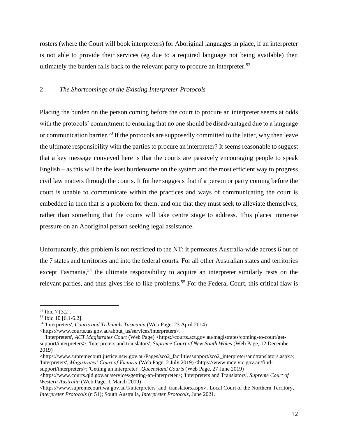rosters (where the Court will book interpreters) for Aboriginal languages in place, if an interpreter is not able to provide their services (eg due to a required language not being available) then ultimately the burden falls back to the relevant party to procure an interpreter.<sup>52</sup>

#### <span id="page-11-0"></span>2 *The Shortcomings of the Existing Interpreter Protocols*

Placing the burden on the person coming before the court to procure an interpreter seems at odds with the protocols' commitment to ensuring that no one should be disadvantaged due to a language or communication barrier.<sup>53</sup> If the protocols are supposedly committed to the latter, why then leave the ultimate responsibility with the parties to procure an interpreter? It seems reasonable to suggest that a key message conveyed here is that the courts are passively encouraging people to speak English – as this will be the least burdensome on the system and the most efficient way to progress civil law matters through the courts. It further suggests that if a person or party coming before the court is unable to communicate within the practices and ways of communicating the court is embedded in then that is a problem for them, and one that they must seek to alleviate themselves, rather than something that the courts will take centre stage to address. This places immense pressure on an Aboriginal person seeking legal assistance.

Unfortunately, this problem is not restricted to the NT; it permeates Australia-wide across 6 out of the 7 states and territories and into the federal courts. For all other Australian states and territories except Tasmania,<sup>54</sup> the ultimate responsibility to acquire an interpreter similarly rests on the relevant parties, and thus gives rise to like problems.<sup>55</sup> For the Federal Court, this critical flaw is

<sup>52</sup> Ibid 7 [3.2].

<sup>53</sup> Ibid 10 [6.1-6.2].

<sup>54</sup> 'Interpreters', *Courts and Tribunals Tasmania* (Web Page, 23 April 2014)

<sup>&</sup>lt;https://www.courts.tas.gov.au/about\_us/services/interpreters>.

<sup>55</sup> 'Interpreters', *ACT Magistrates Court* (Web Page) <https://courts.act.gov.au/magistrates/coming-to-court/getsupport/interpreters>; 'Interpreters and translators', *Supreme Court of New South Wales* (Web Page, 12 December 2019)

<sup>&</sup>lt;https://www.supremecourt.justice.nsw.gov.au/Pages/sco2\_facilitiessupport/sco2\_interpretersandtranslators.aspx>; 'Interpreters', *Magistrates' Court of Victoria* (Web Page, 2 July 2019) <https://www.mcv.vic.gov.au/findsupport/interpreters>; 'Getting an interpreter', *Queensland Courts* (Web Page, 27 June 2019)

<sup>&</sup>lt;https://www.courts.qld.gov.au/services/getting-an-interpreter>; 'Interpreters and Translators', *Supreme Court of Western Australia* (Web Page, 1 March 2019)

<sup>&</sup>lt;https://www.supremecourt.wa.gov.au/I/interpreters\_and\_translators.aspx>. Local Court of the Northern Territory, *Interpreter Protocols* (n 51); South Australia, *Interpreter Protocols*, June 2021.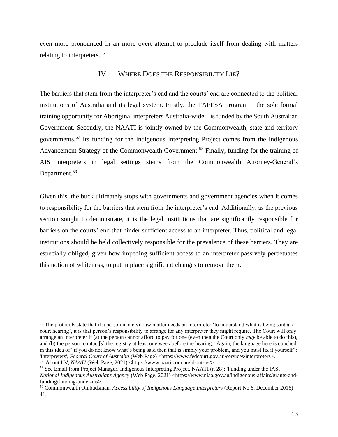<span id="page-12-0"></span>even more pronounced in an more overt attempt to preclude itself from dealing with matters relating to interpreters.<sup>56</sup>

#### IV WHERE DOES THE RESPONSIBILITY LIE?

The barriers that stem from the interpreter's end and the courts' end are connected to the political institutions of Australia and its legal system. Firstly, the TAFESA program – the sole formal training opportunity for Aboriginal interpreters Australia-wide – is funded by the South Australian Government. Secondly, the NAATI is jointly owned by the Commonwealth, state and territory governments.<sup>57</sup> Its funding for the Indigenous Interpreting Project comes from the Indigenous Advancement Strategy of the Commonwealth Government.<sup>58</sup> Finally, funding for the training of AIS interpreters in legal settings stems from the Commonwealth Attorney-General's Department.<sup>59</sup>

Given this, the buck ultimately stops with governments and government agencies when it comes to responsibility for the barriers that stem from the interpreter's end. Additionally, as the previous section sought to demonstrate, it is the legal institutions that are significantly responsible for barriers on the courts' end that hinder sufficient access to an interpreter. Thus, political and legal institutions should be held collectively responsible for the prevalence of these barriers. They are especially obliged, given how impeding sufficient access to an interpreter passively perpetuates this notion of whiteness, to put in place significant changes to remove them.

<sup>58</sup> See Email from Project Manager, Indigenous Interpreting Project, NAATI (n 28); 'Funding under the IAS',

<sup>&</sup>lt;sup>56</sup> The protocols state that if a person in a civil law matter needs an interpreter 'to understand what is being said at a court hearing', it is that person's responsibility to arrange for any interpreter they might require. The Court will only arrange an interpreter if (a) the person cannot afford to pay for one (even then the Court only *may* be able to do this), and (b) the person 'contact[s] the registry at least one week before the hearing.' Again, the language here is couched in this idea of "if you do not know what's being said then that is simply your problem, and you must fix it yourself": 'Interpreters', *Federal Court of Australia* (Web Page) <https://www.fedcourt.gov.au/services/interpreters>. <sup>57</sup> 'About Us', *NAATI* (Web Page, 2021) <https://www.naati.com.au/about-us/>.

*National Indigenous Australians Agency* (Web Page, 2021) <https://www.niaa.gov.au/indigenous-affairs/grants-andfunding/funding-under-ias>.

<sup>59</sup> Commonwealth Ombudsman, *Accessibility of Indigenous Language Interpreters* (Report No 6, December 2016) 41.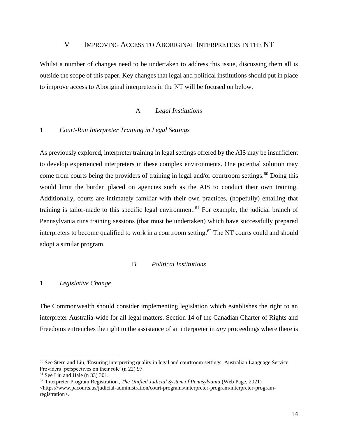#### V IMPROVING ACCESS TO ABORIGINAL INTERPRETERS IN THE NT

<span id="page-13-0"></span>Whilst a number of changes need to be undertaken to address this issue, discussing them all is outside the scope of this paper. Key changes that legal and political institutions should put in place to improve access to Aboriginal interpreters in the NT will be focused on below.

#### A *Legal Institutions*

#### <span id="page-13-2"></span><span id="page-13-1"></span>1 *Court-Run Interpreter Training in Legal Settings*

As previously explored, interpreter training in legal settings offered by the AIS may be insufficient to develop experienced interpreters in these complex environments. One potential solution may come from courts being the providers of training in legal and/or courtroom settings.<sup>60</sup> Doing this would limit the burden placed on agencies such as the AIS to conduct their own training. Additionally, courts are intimately familiar with their own practices, (hopefully) entailing that training is tailor-made to this specific legal environment.<sup>61</sup> For example, the judicial branch of Pennsylvania runs training sessions (that must be undertaken) which have successfully prepared interpreters to become qualified to work in a courtroom setting.<sup>62</sup> The NT courts could and should adopt a similar program.

#### B *Political Institutions*

#### <span id="page-13-4"></span><span id="page-13-3"></span>1 *Legislative Change*

The Commonwealth should consider implementing legislation which establishes the right to an interpreter Australia-wide for all legal matters. Section 14 of the Canadian Charter of Rights and Freedoms entrenches the right to the assistance of an interpreter in *any* proceedings where there is

<sup>&</sup>lt;sup>60</sup> See Stern and Liu, 'Ensuring interpreting quality in legal and courtroom settings: Australian Language Service Providers' perspectives on their role' (n 22) 97.

 $61$  See Liu and Hale (n 33) 301.

<sup>62</sup> 'Interpreter Program Registration', *The Unified Judicial System of Pennsylvania* (Web Page, 2021)  $\langle$ https://www.pacourts.us/judicial-administration/court-programs/interpreter-program/interpreter-programregistration>.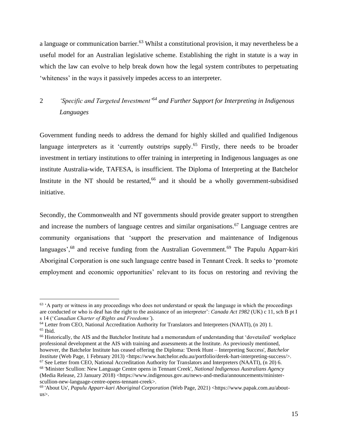a language or communication barrier.<sup>63</sup> Whilst a constitutional provision, it may nevertheless be a useful model for an Australian legislative scheme. Establishing the right in statute is a way in which the law can evolve to help break down how the legal system contributes to perpetuating 'whiteness' in the ways it passively impedes access to an interpreter.

# <span id="page-14-0"></span>2 *'Specific and Targeted Investment'<sup>64</sup> and Further Support for Interpreting in Indigenous Languages*

Government funding needs to address the demand for highly skilled and qualified Indigenous language interpreters as it 'currently outstrips supply.<sup>65</sup> Firstly, there needs to be broader investment in tertiary institutions to offer training in interpreting in Indigenous languages as one institute Australia-wide, TAFESA, is insufficient. The Diploma of Interpreting at the Batchelor Institute in the NT should be restarted,<sup>66</sup> and it should be a wholly government-subsidised initiative.

Secondly, the Commonwealth and NT governments should provide greater support to strengthen and increase the numbers of language centres and similar organisations.<sup>67</sup> Language centres are community organisations that 'support the preservation and maintenance of Indigenous languages',<sup>68</sup> and receive funding from the Australian Government.<sup>69</sup> The Papulu Apparr-kiri Aboriginal Corporation is one such language centre based in Tennant Creek. It seeks to 'promote employment and economic opportunities' relevant to its focus on restoring and reviving the

<sup>&</sup>lt;sup>63</sup> 'A party or witness in any proceedings who does not understand or speak the language in which the proceedings are conducted or who is deaf has the right to the assistance of an interpreter': *Canada Act 1982* (UK) c 11, sch B pt I s 14 ('*Canadian Charter of Rights and Freedoms'*).

<sup>64</sup> Letter from CEO, National Accreditation Authority for Translators and Interpreters (NAATI), (n 20) 1.

 $65$  Ibid.

<sup>&</sup>lt;sup>66</sup> Historically, the AIS and the Batchelor Institute had a memorandum of understanding that 'dovetailed' workplace professional development at the AIS with training and assessments at the Institute. As previously mentioned, however, the Batchelor Institute has ceased offering the Diploma: 'Derek Hunt – Interpreting Success', *Batchelor Institute* (Web Page, 1 February 2013) <https://www.batchelor.edu.au/portfolio/derek-hart-interpreting-success/>. <sup>67</sup> See Letter from CEO, National Accreditation Authority for Translators and Interpreters (NAATI), (n 20) 6.

<sup>68</sup> 'Minister Scullion: New Language Centre opens in Tennant Creek', *National Indigenous Australians Agency* (Media Release, 23 January 2018) <https://www.indigenous.gov.au/news-and-media/announcements/ministerscullion-new-language-centre-opens-tennant-creek>.

<sup>69</sup> 'About Us', *Papulu Apparr-kari Aboriginal Corporation* (Web Page, 2021) <https://www.papak.com.au/aboutus>.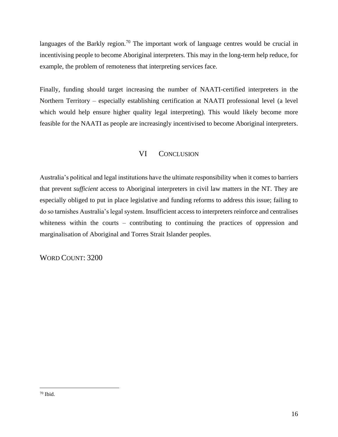languages of the Barkly region.<sup>70</sup> The important work of language centres would be crucial in incentivising people to become Aboriginal interpreters. This may in the long-term help reduce, for example, the problem of remoteness that interpreting services face.

Finally, funding should target increasing the number of NAATI-certified interpreters in the Northern Territory – especially establishing certification at NAATI professional level (a level which would help ensure higher quality legal interpreting). This would likely become more feasible for the NAATI as people are increasingly incentivised to become Aboriginal interpreters.

# VI CONCLUSION

<span id="page-15-0"></span>Australia's political and legal institutions have the ultimate responsibility when it comes to barriers that prevent *sufficient* access to Aboriginal interpreters in civil law matters in the NT. They are especially obliged to put in place legislative and funding reforms to address this issue; failing to do so tarnishes Australia's legal system. Insufficient access to interpreters reinforce and centralises whiteness within the courts – contributing to continuing the practices of oppression and marginalisation of Aboriginal and Torres Strait Islander peoples.

WORD COUNT: 3200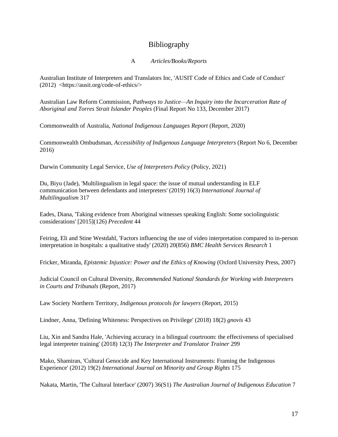# Bibliography

#### A *Articles/Books/Reports*

Australian Institute of Interpreters and Translators Inc, 'AUSIT Code of Ethics and Code of Conduct' (2012) <https://ausit.org/code-of-ethics/>

Australian Law Reform Commission, *Pathways to Justice—An Inquiry into the Incarceration Rate of Aboriginal and Torres Strait Islander Peoples* (Final Report No 133, December 2017)

Commonwealth of Australia, *National Indigenous Languages Report* (Report, 2020)

Commonwealth Ombudsman, *Accessibility of Indigenous Language Interpreters* (Report No 6, December 2016)

Darwin Community Legal Service, *Use of Interpreters Policy* (Policy, 2021)

Du, Biyu (Jade), 'Multilingualism in legal space: the issue of mutual understanding in ELF communication between defendants and interpreters' (2019) 16(3) *International Journal of Multilingualism* 317

Eades, Diana, 'Taking evidence from Aboriginal witnesses speaking English: Some sociolinguistic considerations' [2015](126) *Precedent* 44

Feiring, Eli and Stine Westdahl, 'Factors influencing the use of video interpretation compared to in-person interpretation in hospitals: a qualitative study' (2020) 20(856) *BMC Health Services Research* 1

Fricker, Miranda, *Epistemic Injustice: Power and the Ethics of Knowing* (Oxford University Press, 2007)

Judicial Council on Cultural Diversity, *Recommended National Standards for Working with Interpreters in Courts and Tribunals* (Report, 2017)

Law Society Northern Territory, *Indigenous protocols for lawyers* (Report, 2015)

Lindner, Anna, 'Defining Whiteness: Perspectives on Privilege' (2018) 18(2) *gnovis* 43

Liu, Xin and Sandra Hale, 'Achieving accuracy in a bilingual courtroom: the effectiveness of specialised legal interpreter training' (2018) 12(3) *The Interpreter and Translator Trainer* 299

Mako, Shamiran, 'Cultural Genocide and Key International Instruments: Framing the Indigenous Experience' (2012) 19(2) *International Journal on Minority and Group Rights* 175

Nakata, Martin, 'The Cultural Interface' (2007) 36(S1) *The Australian Journal of Indigenous Education* 7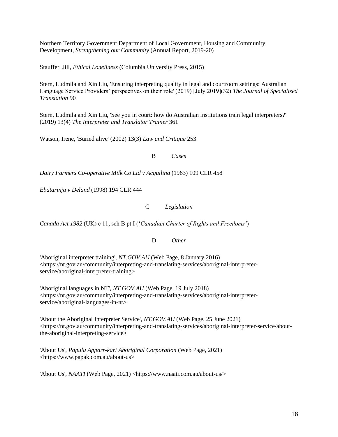Northern Territory Government Department of Local Government, Housing and Community Development, *Strengthening our Community* (Annual Report, 2019-20)

Stauffer, Jill, *Ethical Loneliness* (Columbia University Press, 2015)

Stern, Ludmila and Xin Liu, 'Ensuring interpreting quality in legal and courtroom settings: Australian Language Service Providers' perspectives on their role' (2019) [July 2019](32) *The Journal of Specialised Translation* 90

Stern, Ludmila and Xin Liu, 'See you in court: how do Australian institutions train legal interpreters?' (2019) 13(4) *The Interpreter and Translator Trainer* 361

Watson, Irene, 'Buried alive' (2002) 13(3) *Law and Critique* 253

B *Cases*

*Dairy Farmers Co-operative Milk Co Ltd v Acquilina* (1963) 109 CLR 458

*Ebatarinja v Deland* (1998) 194 CLR 444

C *Legislation*

*Canada Act 1982* (UK) c 11, sch B pt I ('*Canadian Charter of Rights and Freedoms'*)

D *Other*

'Aboriginal interpreter training', *NT.GOV.AU* (Web Page, 8 January 2016) <https://nt.gov.au/community/interpreting-and-translating-services/aboriginal-interpreterservice/aboriginal-interpreter-training>

'Aboriginal languages in NT', *NT.GOV.AU* (Web Page, 19 July 2018) <https://nt.gov.au/community/interpreting-and-translating-services/aboriginal-interpreterservice/aboriginal-languages-in-nt>

'About the Aboriginal Interpreter Service', *NT.GOV.AU* (Web Page, 25 June 2021) <https://nt.gov.au/community/interpreting-and-translating-services/aboriginal-interpreter-service/aboutthe-aboriginal-interpreting-service>

'About Us', *Papulu Apparr-kari Aboriginal Corporation* (Web Page, 2021) <https://www.papak.com.au/about-us>

'About Us', *NAATI* (Web Page, 2021) <https://www.naati.com.au/about-us/>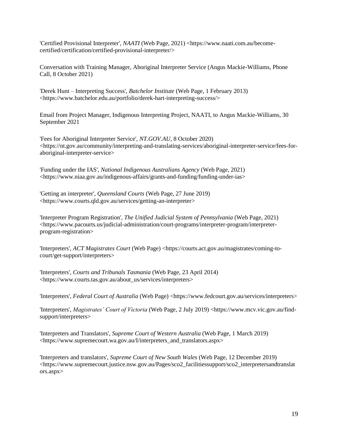'Certified Provisional Interpreter', *NAATI* (Web Page, 2021) <https://www.naati.com.au/becomecertified/certification/certified-provisional-interpreter/>

Conversation with Training Manager, Aboriginal Interpreter Service (Angus Mackie-Williams, Phone Call, 8 October 2021)

'Derek Hunt – Interpreting Success', *Batchelor Institute* (Web Page, 1 February 2013) <https://www.batchelor.edu.au/portfolio/derek-hart-interpreting-success/>

Email from Project Manager, Indigenous Interpreting Project, NAATI, to Angus Mackie-Williams, 30 September 2021

'Fees for Aboriginal Interpreter Service', *NT.GOV.AU*, 8 October 2020) <https://nt.gov.au/community/interpreting-and-translating-services/aboriginal-interpreter-service/fees-foraboriginal-interpreter-service>

'Funding under the IAS', *National Indigenous Australians Agency* (Web Page, 2021) <https://www.niaa.gov.au/indigenous-affairs/grants-and-funding/funding-under-ias>

'Getting an interpreter', *Queensland Courts* (Web Page, 27 June 2019) <https://www.courts.qld.gov.au/services/getting-an-interpreter>

'Interpreter Program Registration', *The Unified Judicial System of Pennsylvania* (Web Page, 2021) <https://www.pacourts.us/judicial-administration/court-programs/interpreter-program/interpreterprogram-registration>

'Interpreters', *ACT Magistrates Court* (Web Page) <https://courts.act.gov.au/magistrates/coming-tocourt/get-support/interpreters>

'Interpreters', *Courts and Tribunals Tasmania* (Web Page, 23 April 2014) <https://www.courts.tas.gov.au/about\_us/services/interpreters>

'Interpreters', *Federal Court of Australia* (Web Page) <https://www.fedcourt.gov.au/services/interpreters>

'Interpreters', *Magistrates' Court of Victoria* (Web Page, 2 July 2019) <https://www.mcv.vic.gov.au/findsupport/interpreters>

'Interpreters and Translators', *Supreme Court of Western Australia* (Web Page, 1 March 2019) <https://www.supremecourt.wa.gov.au/I/interpreters\_and\_translators.aspx>

'Interpreters and translators', *Supreme Court of New South Wales* (Web Page, 12 December 2019) <https://www.supremecourt.justice.nsw.gov.au/Pages/sco2\_facilitiessupport/sco2\_interpretersandtranslat ors.aspx>